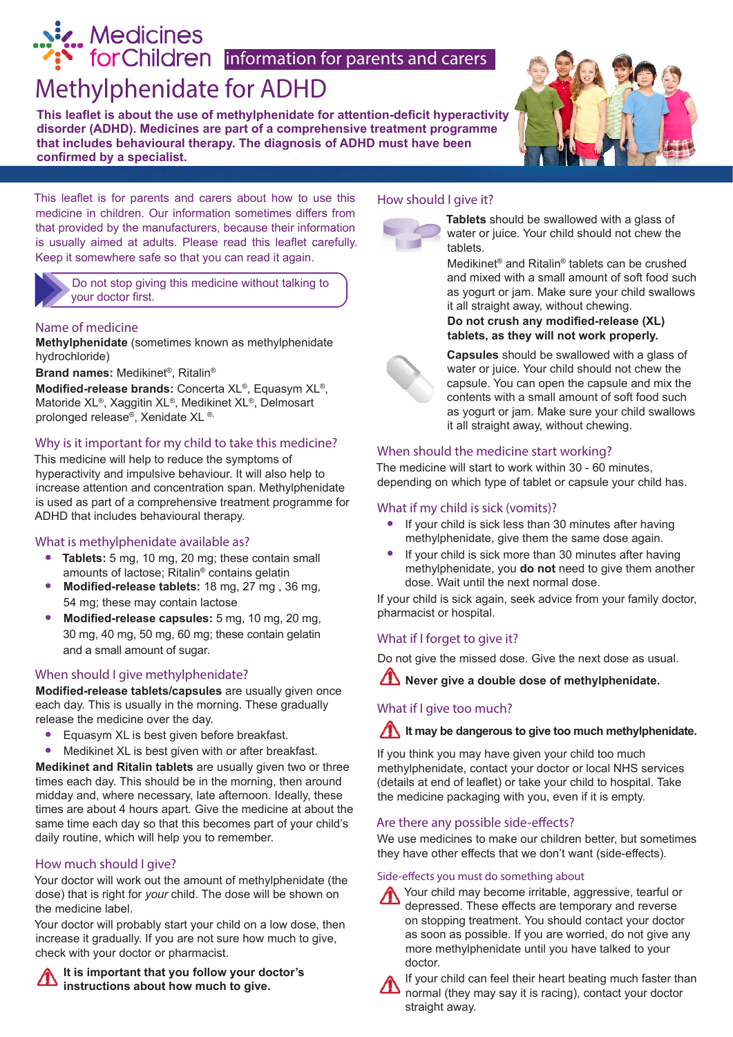# is Medicines<br> **information** for parents and carers

## Methylphenidate for ADHD

**This leaflet is about the use of methylphenidate for attention-deficit hyperactivity disorder (ADHD). Medicines are part of a comprehensive treatment programme that includes behavioural therapy. The diagnosis of ADHD must have been confirmed by a specialist.**



#### This leaflet is for parents and carers about how to use this medicine in children. Our information sometimes differs from that provided by the manufacturers, because their information is usually aimed at adults. Please read this leaflet carefully. Keep it somewhere safe so that you can read it again.

Do not stop giving this medicine without talking to your doctor first.

#### Name of medicine

**Methylphenidate** (sometimes known as methylphenidate hydrochloride)

**Brand names:** Medikinet®, Ritalin®

**Modified-release brands:** Concerta XL®, Equasym XL®, Matoride XL®, Xaggitin XL®, Medikinet XL®, Delmosart prolonged release®, Xenidate XL ®,

#### Why is it important for my child to take this medicine?

This medicine will help to reduce the symptoms of hyperactivity and impulsive behaviour. It will also help to increase attention and concentration span. Methylphenidate is used as part of a comprehensive treatment programme for ADHD that includes behavioural therapy.

#### What is methylphenidate available as?

- **• Tablets:** 5 mg, 10 mg, 20 mg; these contain small amounts of lactose; Ritalin® contains gelatin
- **• Modified-release tablets:** 18 mg, 27 mg , 36 mg, 54 mg; these may contain lactose
- **• Modified-release capsules:** 5 mg, 10 mg, 20 mg, 30 mg, 40 mg, 50 mg, 60 mg; these contain gelatin and a small amount of sugar.

#### When should I give methylphenidate?

**Modified-release tablets/capsules** are usually given once each day. This is usually in the morning. These gradually release the medicine over the day.

- **•** Equasym XL is best given before breakfast.
- **•** Medikinet XL is best given with or after breakfast.

**Medikinet and Ritalin tablets** are usually given two or three times each day. This should be in the morning, then around midday and, where necessary, late afternoon. Ideally, these times are about 4 hours apart. Give the medicine at about the same time each day so that this becomes part of your child's daily routine, which will help you to remember.

#### How much should I give?

Your doctor will work out the amount of methylphenidate (the dose) that is right for *your* child. The dose will be shown on the medicine label.

Your doctor will probably start your child on a low dose, then increase it gradually. If you are not sure how much to give, check with your doctor or pharmacist.

**It is important that you follow your doctor's instructions about how much to give.**

#### How should I give it?



**Tablets** should be swallowed with a glass of water or juice. Your child should not chew the tablets.

Medikinet® and Ritalin® tablets can be crushed and mixed with a small amount of soft food such as yogurt or jam. Make sure your child swallows it all straight away, without chewing.

**Do not crush any modified-release (XL) tablets, as they will not work properly.**



**Capsules** should be swallowed with a glass of water or juice. Your child should not chew the capsule. You can open the capsule and mix the contents with a small amount of soft food such as yogurt or jam. Make sure your child swallows it all straight away, without chewing.

#### When should the medicine start working?

The medicine will start to work within 30 - 60 minutes, depending on which type of tablet or capsule your child has.

#### What if my child is sick (vomits)?

- **•** If your child is sick less than 30 minutes after having methylphenidate, give them the same dose again.
- **•** If your child is sick more than 30 minutes after having methylphenidate, you **do not** need to give them another dose. Wait until the next normal dose.

If your child is sick again, seek advice from your family doctor, pharmacist or hospital.

#### What if I forget to give it?

Do not give the missed dose. Give the next dose as usual.

**A** Never give a double dose of methylphenidate.

#### What if I give too much?

**It may be dangerous to give too much methylphenidate.** 

If you think you may have given your child too much methylphenidate, contact your doctor or local NHS services (details at end of leaflet) or take your child to hospital. Take the medicine packaging with you, even if it is empty.

#### Are there any possible side-effects?

We use medicines to make our children better, but sometimes they have other effects that we don't want (side-effects).

#### Side-effects you must do something about

Your child may become irritable, aggressive, tearful or depressed. These effects are temporary and reverse on stopping treatment. You should contact your doctor as soon as possible. If you are worried, do not give any more methylphenidate until you have talked to your doctor.



If your child can feel their heart beating much faster than normal (they may say it is racing), contact your doctor straight away.